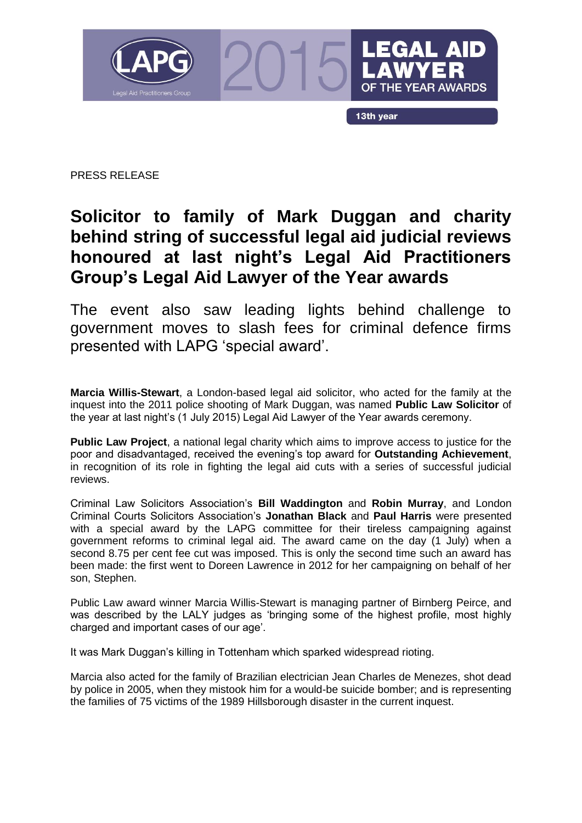

PRESS RELEASE

## **Solicitor to family of Mark Duggan and charity behind string of successful legal aid judicial reviews honoured at last night's Legal Aid Practitioners Group's Legal Aid Lawyer of the Year awards**

The event also saw leading lights behind challenge to government moves to slash fees for criminal defence firms presented with LAPG 'special award'.

**Marcia Willis-Stewart**, a London-based legal aid solicitor, who acted for the family at the inquest into the 2011 police shooting of Mark Duggan, was named **Public Law Solicitor** of the year at last night's (1 July 2015) Legal Aid Lawyer of the Year awards ceremony.

**Public Law Project**, a national legal charity which aims to improve access to justice for the poor and disadvantaged, received the evening's top award for **Outstanding Achievement**, in recognition of its role in fighting the legal aid cuts with a series of successful judicial reviews.

Criminal Law Solicitors Association's **Bill Waddington** and **Robin Murray**, and London Criminal Courts Solicitors Association's **Jonathan Black** and **Paul Harris** were presented with a special award by the LAPG committee for their tireless campaigning against government reforms to criminal legal aid. The award came on the day (1 July) when a second 8.75 per cent fee cut was imposed. This is only the second time such an award has been made: the first went to Doreen Lawrence in 2012 for her campaigning on behalf of her son, Stephen.

Public Law award winner Marcia Willis-Stewart is managing partner of Birnberg Peirce, and was described by the LALY judges as 'bringing some of the highest profile, most highly charged and important cases of our age'.

It was Mark Duggan's killing in Tottenham which sparked widespread rioting.

Marcia also acted for the family of Brazilian electrician Jean Charles de Menezes, shot dead by police in 2005, when they mistook him for a would-be suicide bomber; and is representing the families of 75 victims of the 1989 Hillsborough disaster in the current inquest.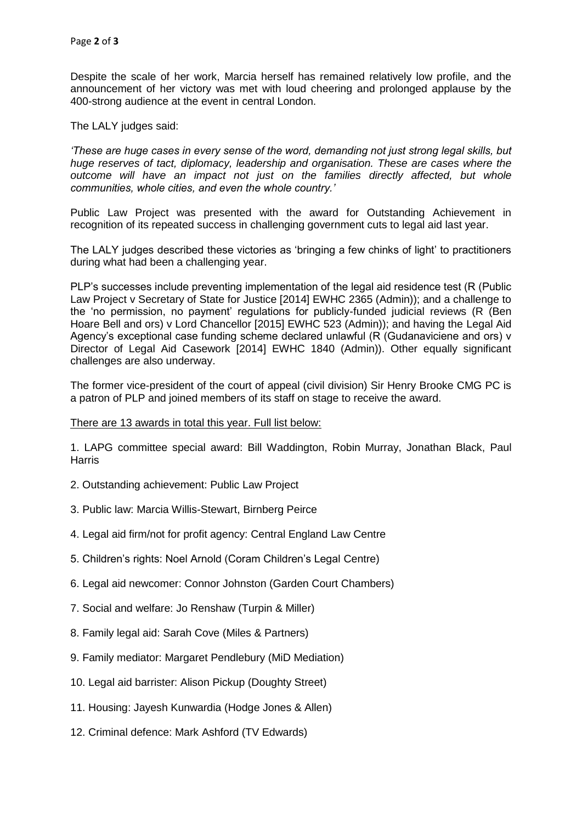Despite the scale of her work, Marcia herself has remained relatively low profile, and the announcement of her victory was met with loud cheering and prolonged applause by the 400-strong audience at the event in central London.

The LALY judges said:

*'These are huge cases in every sense of the word, demanding not just strong legal skills, but huge reserves of tact, diplomacy, leadership and organisation. These are cases where the outcome will have an impact not just on the families directly affected, but whole communities, whole cities, and even the whole country.'*

Public Law Project was presented with the award for Outstanding Achievement in recognition of its repeated success in challenging government cuts to legal aid last year.

The LALY judges described these victories as 'bringing a few chinks of light' to practitioners during what had been a challenging year.

PLP's successes include preventing implementation of the legal aid residence test (R (Public Law Project v Secretary of State for Justice [2014] EWHC 2365 (Admin)); and a challenge to the 'no permission, no payment' regulations for publicly-funded judicial reviews (R (Ben Hoare Bell and ors) v Lord Chancellor [2015] EWHC 523 (Admin)); and having the Legal Aid Agency's exceptional case funding scheme declared unlawful (R (Gudanaviciene and ors) v Director of Legal Aid Casework [2014] EWHC 1840 (Admin)). Other equally significant challenges are also underway.

The former vice-president of the court of appeal (civil division) Sir Henry Brooke CMG PC is a patron of PLP and joined members of its staff on stage to receive the award.

There are 13 awards in total this year. Full list below:

1. LAPG committee special award: Bill Waddington, Robin Murray, Jonathan Black, Paul **Harris** 

- 2. Outstanding achievement: Public Law Project
- 3. Public law: Marcia Willis-Stewart, Birnberg Peirce
- 4. Legal aid firm/not for profit agency: Central England Law Centre
- 5. Children's rights: Noel Arnold (Coram Children's Legal Centre)
- 6. Legal aid newcomer: Connor Johnston (Garden Court Chambers)
- 7. Social and welfare: Jo Renshaw (Turpin & Miller)
- 8. Family legal aid: Sarah Cove (Miles & Partners)
- 9. Family mediator: Margaret Pendlebury (MiD Mediation)
- 10. Legal aid barrister: Alison Pickup (Doughty Street)
- 11. Housing: Jayesh Kunwardia (Hodge Jones & Allen)
- 12. Criminal defence: Mark Ashford (TV Edwards)